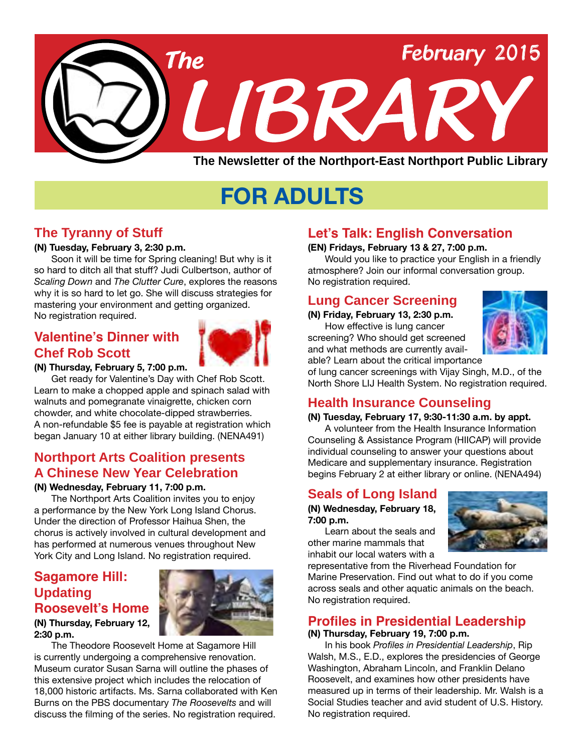

# **FOR ADULTS**

### **The Tyranny of Stuff**

#### **(N) Tuesday, February 3, 2:30 p.m.**

Soon it will be time for Spring cleaning! But why is it so hard to ditch all that stuff? Judi Culbertson, author of *Scaling Down* and *The Clutter Cure*, explores the reasons why it is so hard to let go. She will discuss strategies for mastering your environment and getting organized. No registration required.

### **Valentine's Dinner with Chef Rob Scott**



#### **(N) Thursday, February 5, 7:00 p.m.**

Get ready for Valentine's Day with Chef Rob Scott. Learn to make a chopped apple and spinach salad with walnuts and pomegranate vinaigrette, chicken corn chowder, and white chocolate-dipped strawberries. A non-refundable \$5 fee is payable at registration which began January 10 at either library building. ([NENA491](http://alpha2.suffolk.lib.ny.us/search/?searchtype=X&SORT=D&searcharg=nena491&searchscope=43))

### **Northport Arts Coalition presents A Chinese New Year Celebration**

#### **(N) Wednesday, February 11, 7:00 p.m.**

The Northport Arts Coalition invites you to enjoy a performance by the New York Long Island Chorus. Under the direction of Professor Haihua Shen, the chorus is actively involved in cultural development and has performed at numerous venues throughout New York City and Long Island. No registration required.

### **Sagamore Hill: Updating Roosevelt's Home**

#### **(N) Thursday, February 12, 2:30 p.m.**

The Theodore Roosevelt Home at Sagamore Hill is currently undergoing a comprehensive renovation. Museum curator Susan Sarna will outline the phases of this extensive project which includes the relocation of 18,000 historic artifacts. Ms. Sarna collaborated with Ken Burns on the PBS documentary *The Roosevelts* and will discuss the filming of the series. No registration required.

### **Let's Talk: English Conversation**

#### **(EN) Fridays, February 13 & 27, 7:00 p.m.**

Would you like to practice your English in a friendly atmosphere? Join our informal conversation group. No registration required.

### **Lung Cancer Screening**

**(N) Friday, February 13, 2:30 p.m.** How effective is lung cancer screening? Who should get screened and what methods are currently avail-



able? Learn about the critical importance of lung cancer screenings with Vijay Singh, M.D., of the North Shore LIJ Health System. No registration required.

### **Health Insurance Counseling**

#### **(N) Tuesday, February 17, 9:30-11:30 a.m. by appt.**

A volunteer from the Health Insurance Information Counseling & Assistance Program (HIICAP) will provide individual counseling to answer your questions about Medicare and supplementary insurance. Registration begins February 2 at either library or online. [\(NENA494\)](http://alpha2.suffolk.lib.ny.us/search/?searchtype=X&SORT=D&searcharg=nena494&searchscope=43)

### **Seals of Long Island**

#### **(N) Wednesday, February 18, 7:00 p.m.**

Learn about the seals and other marine mammals that inhabit our local waters with a



representative from the Riverhead Foundation for Marine Preservation. Find out what to do if you come across seals and other aquatic animals on the beach. No registration required.

### **Profiles in Presidential Leadership**

#### **(N) Thursday, February 19, 7:00 p.m.**

In his book *Profiles in Presidential Leadership*, Rip Walsh, M.S., E.D., explores the presidencies of George Washington, Abraham Lincoln, and Franklin Delano Roosevelt, and examines how other presidents have measured up in terms of their leadership. Mr. Walsh is a Social Studies teacher and avid student of U.S. History. No registration required.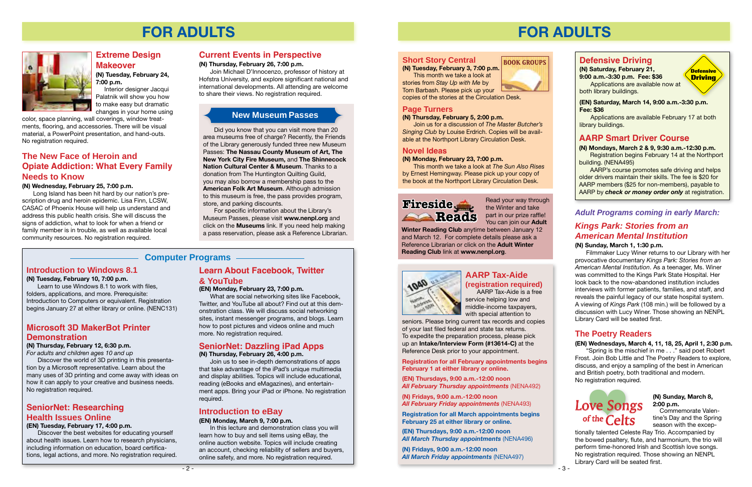

# **FOR ADULTS**



### **Extreme Design Makeover**

**(N) Tuesday, February 24, 7:00 p.m.**

 Interior designer Jacqui Palatnik will show you how to make easy but dramatic changes in your home using

color, space planning, wall coverings, window treatments, flooring, and accessories. There will be visual material, a PowerPoint presentation, and hand-outs. No registration required.

#### **Introduction to Windows 8.1**

#### **(N) Tuesday, February 10, 7:00 p.m.**

Learn to use Windows 8.1 to work with files, folders, applications, and more. Prerequisite: Introduction to Computers or equivalent. Registration begins January 27 at either library or online. ([NENC131\)](http://alpha2.suffolk.lib.ny.us/search/?searchtype=X&SORT=D&searcharg=nenc131&searchscope=43)

### **Computer Programs**

### **Current Events in Perspective**

#### **(N) Thursday, February 26, 7:00 p.m.**

Join Michael D'Innocenzo, professor of history at Hofstra University, and explore significant national and international developments. All attending are welcome to share their views. No registration required.

#### **Introduction to eBay**

#### **(EN) Monday, March 9, 7:00 p.m.**

In this lecture and demonstration class you will learn how to buy and sell items using eBay, the online auction website. Topics will include creating an account, checking reliability of sellers and buyers, online safety, and more. No registration required.

### **Microsoft 3D MakerBot Printer Demonstration**

#### **(N) Thursday, February 12, 6:30 p.m.**

*For adults and children ages 10 and up*

Discover the world of 3D printing in this presentation by a Microsoft representative. Learn about the many uses of 3D printing and come away with ideas on how it can apply to your creative and business needs. No registration required.

### **SeniorNet: Researching Health Issues Online**

#### **(EN) Tuesday, February 17, 4:00 p.m.**

Discover the best websites for educating yourself about health issues. Learn how to research physicians, including information on education, board certifications, legal actions, and more. No registration required.

### **Learn About Facebook, Twitter & YouTube**

#### **(EN) Monday, February 23, 7:00 p.m.**

What are social networking sites like Facebook, Twitter, and YouTube all about? Find out at this demonstration class. We will discuss social networking sites, instant messenger programs, and blogs. Learn how to post pictures and videos online and much more. No registration required.

### **SeniorNet: Dazzling iPad Apps**

**(N) Thursday, February 26, 4:00 p.m.** 

Join us to see in-depth demonstrations of apps that take advantage of the iPad's unique multimedia and display abilities. Topics will include educational, reading (eBooks and eMagazines), and entertainment apps. Bring your iPad or iPhone. No registration required.

### **The New Face of Heroin and Opiate Addiction: What Every Family Needs to Know**

#### **(N) Wednesday, February 25, 7:00 p.m.**

Long Island has been hit hard by our nation's prescription drug and heroin epidemic. Lisa Finn, LCSW, CASAC of Phoenix House will help us understand and address this public health crisis. She will discuss the signs of addiction, what to look for when a friend or family member is in trouble, as well as available local community resources. No registration required.

Did you know that you can visit more than 20 area museums free of charge? Recently, the Friends of the Library generously funded three new Museum Passes: **The Nassau County Museum of Art, The New York City Fire Museum,** and **The Shinnecock Nation Cultural Center & Museum**. Thanks to a donation from The Huntington Quilting Guild, you may also borrow a membership pass to the **American Folk Art Museum**. Although admission to this museum is free, the pass provides program, store, and parking discounts.

For specific information about the Library's Museum Passes, please visit **www.nenpl.org** and click on the **Museums** link. If you need help making a pass reservation, please ask a Reference Librarian.

### **New Museum Passes**

# **FOR ADULTS**

**Defensive Driving**

### **Defensive Driving**

**(N) Saturday, February 21, 9:00 a.m.-3:30 p.m. Fee: \$36**

Applications are available now at both library buildings.

**(EN) Saturday, March 14, 9:00 a.m.-3:30 p.m. Fee: \$36**

Applications are available February 17 at both library buildings.

### **AARP Smart Driver Course**

**(N) Mondays, March 2 & 9, 9:30 a.m.-12:30 p.m.** Registration begins February 14 at the Northport building. (NENA495)

AARP's course promotes safe driving and helps older drivers maintain their skills. The fee is \$20 for AARP members (\$25 for non-members), payable to AARP by *check or money order only* at registration.

#### **Short Story Central**

**(N) Tuesday, February 3, 7:00 p.m.** This month we take a look at stories from *Stay Up with Me* by

Tom Barbash. Please pick up your

copies of the stories at the Circulation Desk.

#### **Page Turners**

#### **(N) Thursday, February 5, 2:00 p.m.**

Join us for a discussion of *The Master Butcher's Singing Club* by Louise Erdrich. Copies will be available at the Northport Library Circulation Desk.

#### **Novel Ideas**

#### **(N) Monday, February 23, 7:00 p.m.**

This month we take a look at *The Sun Also Rises*  by Ernest Hemingway. Please pick up your copy of the book at the Northport Library Circulation Desk.

**BOOK GROUPS**



the Winter and take part in our prize raffle! You can join our **Adult** 

**Winter Reading Club** anytime between January 12 and March 12. For complete details please ask a Reference Librarian or click on the **Adult Winter Reading Club** link at **www.nenpl.org**.



### *Adult Programs coming in early March:*

### **AARP Tax-Aide (registration required)**

 AARP Tax-Aide is a free service helping low and middle-income taxpayers, with special attention to

seniors. Please bring current tax records and copies of your last filed federal and state tax returns. To expedite the preparation process, please pick up an **Intake/Interview Form (#13614-C)** at the Reference Desk prior to your appointment.

**Registration for all February appointments begins February 1 at either library or online.** 

**(EN) Thursdays, 9:00 a.m.-12:00 noon** *All February Thursday appointments* [\(NENA492](http://alpha2.suffolk.lib.ny.us/search/?searchtype=X&SORT=D&searcharg=nena492&searchscope=43))

**(N) Fridays, 9:00 a.m.-12:00 noon**  *All February Friday appointments* [\(NENA493](http://alpha2.suffolk.lib.ny.us/search/?searchtype=X&SORT=D&searcharg=nena493&searchscope=43))

**Registration for all March appointments begins February 25 at either library or online.** 

**(EN) Thursdays, 9:00 a.m.-12:00 noon** *All March Thursday appointments* ([NENA496\)](http://alpha2.suffolk.lib.ny.us/search/?searchtype=X&SORT=D&searcharg=nena496&searchscope=43)

**(N) Fridays, 9:00 a.m.-12:00 noon**  *All March Friday appointments* ([NENA497\)](http://alpha2.suffolk.lib.ny.us/search/?searchtype=X&SORT=D&searcharg=nena497&searchscope=43)

### *Kings Park: Stories from an American Mental Institution*

#### **(N) Sunday, March 1, 1:30 p.m.**

Filmmaker Lucy Winer returns to our Library with her provocative documentary *Kings Park: Stories from an American Mental Institution*. As a teenager, Ms. Winer was committed to the Kings Park State Hospital. Her look back to the now-abandoned institution includes interviews with former patients, families, and staff, and reveals the painful legacy of our state hospital system. A viewing of *Kings Park* (108 min.) will be followed by a discussion with Lucy Winer. Those showing an NENPL Library Card will be seated first.

#### **(N) Sunday, March 8, 2:00 p.m.**

 Commemorate Valentine's Day and the Spring season with the excep-

tionally talented Celeste Ray Trio. Accompanied by the bowed psaltery, flute, and harmonium, the trio will perform time-honored Irish and Scottish love songs. No registration required. Those showing an NENPL Library Card will be seated first.

### **The Poetry Readers**

#### **(EN) Wednesdays, March 4, 11, 18, 25, April 1, 2:30 p.m.**

"Spring is the mischief in me . . ." said poet Robert Frost. Join Bob Little and The Poetry Readers to explore, discuss, and enjoy a sampling of the best in American and British poetry, both traditional and modern. No registration required.

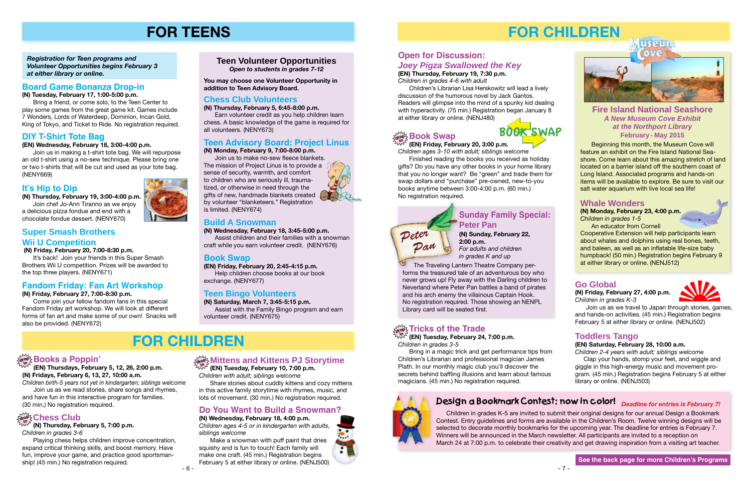### **drop in Books a Poppin'**

**(EN) Thursdays, February 5, 12, 26, 2:00 p.m. (N) Fridays, February 6, 13, 27, 10:00 a.m.**

*Children birth-5 years not yet in kindergarten; siblings welcome* Join us as we read stories, share songs and rhymes, and have fun in this interactive program for families. (30 min.) No registration required.

### **drop in Chess Club**

**(N) Thursday, February 5, 7:00 p.m.** *Children in grades 3-6*

Playing chess helps children improve concentration, expand critical thinking skills, and boost memory. Have fun, improve your game, and practice good sportsmanship! (45 min.) No registration required.

### $\frac{d^2\mathbf{w}}{d\mathbf{w}^2}$  Mittens and Kittens PJ Storytime

**(EN) Tuesday, February 10, 7:00 p.m.** *Children with adult; siblings welcome*

Share stories about cuddly kittens and cozy mittens in this active family storytime with rhymes, music, and lots of movement. (30 min.) No registration required.

### **Teen Volunteer Opportunities** *Open to students in grades 7-12*

*Registration for Teen programs and Volunteer Opportunities begins February 3 at either library or online.*

# **FOR TEENS**

## **FOR CHILDREN**

### **Do You Want to Build a Snowman?**

#### **(N) Wednesday, February 18, 4:00 p.m.**  *Children ages 4-5 or in kindergarten with adults,*

*siblings welcome*

Make a snowman with puff paint that dries squishy and is fun to touch! Each family will make one craft. (45 min.) Registration begins February 5 at either library or online. ([NENJ500](http://alpha2.suffolk.lib.ny.us/search/?searchtype=X&SORT=D&searcharg=nenj500&searchscope=43))

### **Board Game Bonanza Drop-in**

**(N) Tuesday, February 17, 1:00-5:00 p.m.**

It's back! Join your friends in this Super Smash Brothers Wii U competition. Prizes will be awarded to the top three players. [\(NENY671\)](http://alpha2.suffolk.lib.ny.us/search/?searchtype=X&SORT=D&searcharg=neny671&searchscope=43)

Bring a friend, or come solo, to the Teen Center to play some games from the great game kit. Games include 7 Wonders, Lords of Waterdeep, Dominion, Incan Gold, King of Tokyo, and Ticket to Ride. No registration required.

### **Chess Club Volunteers**

**(N) Thursday, February 5, 6:45-8:00 p.m.** Earn volunteer credit as you help children learn chess. A basic knowledge of the game is required for all volunteers. ([NENY673\)](http://alpha2.suffolk.lib.ny.us/search/?searchtype=X&SORT=D&searcharg=neny673&searchscope=43)

### **Teen Advisory Board: Project Linus**

#### **(N) Monday, February 9, 7:00-8:00 p.m.**

Join us to make no-sew fleece blankets. The mission of Project Linus is to provide a sense of security, warmth, and comfort to children who are seriously ill, traumatized, or otherwise in need through the gifts of new, handmade blankets created by volunteer "blanketeers." Registration is limited. ([NENY674](http://alpha2.suffolk.lib.ny.us/search/?searchtype=X&SORT=D&searcharg=neny674&searchscope=43))

### **Build A Snowman**

**(N) Wednesday, February 18, 3:45-5:00 p.m.** Assist children and their families with a snowman craft while you earn volunteer credit. [\(NENY676](http://alpha2.suffolk.lib.ny.us/search/?searchtype=X&SORT=D&searcharg=neny676&searchscope=43))

### **Book Swap**

**(EN) Friday, February 20, 2:45-4:15 p.m.** Help children choose books at our book exchange. [\(NENY677](http://alpha2.suffolk.lib.ny.us/search/?searchtype=X&SORT=D&searcharg=neny677&searchscope=43))

### **Teen Bingo Volunteers**

**(N) Saturday, March 7, 3:45-5:15 p.m.** Assist with the Family Bingo program and earn volunteer credit. [\(NENY675\)](http://alpha2.suffolk.lib.ny.us/search/?searchtype=X&SORT=D&searcharg=neny675&searchscope=43)

Beginning this month, the Museum Cove will feature an exhibit on the Fire Island National Seashore. Come learn about this amazing stretch of land located on a barrier island off the southern coast of Long Island. Associated programs and hands-on items will be available to explore. Be sure to visit our salt water aquarium with live local sea life!

### **Fandom Friday: Fan Art Workshop**

#### **(N) Friday, February 27, 7:00-8:30 p.m.**

Come join your fellow fandom fans in this special Fandom Friday art workshop. We will look at different forms of fan art and make some of our own! Snacks will also be provided. ([NENY672](http://alpha2.suffolk.lib.ny.us/search/?searchtype=X&SORT=D&searcharg=neny672&searchscope=43))

### **Super Smash Brothers Wii U Competition**

 **(N) Friday, February 20, 7:00-8:30 p.m.**

### **It's Hip to Dip**

**(N) Thursday, February 19, 3:00-4:00 p.m.**

Join chef Jo-Ann Tiranno as we enjoy a delicious pizza fondue and end with a chocolate fondue dessert. ([NENY670\)](http://alpha2.suffolk.lib.ny.us/search/?searchtype=X&SORT=D&searcharg=neny670&searchscope=43)

### **DIY T-Shirt Tote Bag**

#### **(EN) Wednesday, February 18, 3:00-4:00 p.m.**

Join us in making a t-shirt tote bag. We will repurpose an old t-shirt using a no-sew technique. Please bring one or two t-shirts that will be cut and used as your tote bag. ([NENY669](http://alpha2.suffolk.lib.ny.us/search/?searchtype=X&SORT=D&searcharg=neny669&searchscope=43))

#### $\frac{1}{\text{drop}^2}$  Book Swap **in**

**You may choose one Volunteer Opportunity in addition to Teen Advisory Board.**

- 7 -

# **FOR CHILDREN**



### **Open for Discussion:**  *Joey Pigza Swallowed the Key*

**(EN) Thursday, February 19, 7:30 p.m.** *Children in grades 4-6 with adult*

Children's Librarian Lisa Herskowitz will lead a lively discussion of the humorous novel by Jack Gantos. Readers will glimpse into the mind of a spunky kid dealing with hyperactivity. (75 min.) Registration began January 8 at either library or online. ([NENJ480\)](http://alpha2.suffolk.lib.ny.us/search/?searchtype=X&SORT=D&searcharg=nenj480&searchscope=43)

### **Go Global**

**(N) Friday, February 27, 4:00 p.m.**  *Children in grades K-3*



Join us as we travel to Japan through stories, games, and hands-on activities. (45 min.) Registration begins February 5 at either library or online. ([NENJ502](http://alpha2.suffolk.lib.ny.us/search/?searchtype=X&SORT=D&searcharg=nenj502&searchscope=43))

**(EN) Tuesday, February 24, 7:00 p.m.** *Children in grades 3-5* **in**

Bring in a magic trick and get performance tips from Children's Librarian and professional magician James Plath. In our monthly magic club you'll discover the secrets behind baffling illusions and learn about famous magicians. (45 min.) No registration required.

### Design a Bookmark Contest: now in color! <sub>Deadline for entries is February 7!</sub>

### **(EN) Friday, February 20, 3:00 p.m.**

*Children ages 3-10 with adult; siblings welcome* Finished reading the books you received as holiday

gifts? Do you have any other books in your home library that you no longer want? Be "green" and trade them for swap dollars and "purchase" pre-owned, new-to-you books anytime between 3:00-4:00 p.m. (60 min.) No registration required.

### **Toddlers Tango**

**(EN) Saturday, February 28, 10:00 a.m.**

*Children 2-4 years with adult; siblings welcome* Clap your hands, stomp your feet, and wiggle and giggle in this high-energy music and movement program. (45 min.) Registration begins February 5 at either library or online. ([NENJ503](http://alpha2.suffolk.lib.ny.us/search/?searchtype=X&SORT=D&searcharg=nenj503&searchscope=43))

### **Whale Wonders**

**(N) Monday, February 23, 4:00 p.m.** *Children in grades 1-5*

An educator from Cornell Cooperative Extension will help participants learn about whales and dolphins using real bones, teeth, and baleen, as well as an inflatable life-size baby humpback! (50 min.) Registration begins February 9 at either library or online. ([NENJ512\)](http://alpha2.suffolk.lib.ny.us/search/?searchtype=X&SORT=D&searcharg=nenj512&searchscope=43)

#### **Fire Island National Seashore** *A New Museum Cove Exhibit at the Northport Library* **February - May 2015**

### **Sunday Family Special: Peter Pan**

**(N) Sunday, February 22, 2:00 p.m.** *For adults and children in grades K and up*

# *Peter Pan*

The Traveling Lantern Theatre Company performs the treasured tale of an adventurous boy who never grows up! Fly away with the Darling children to Neverland where Peter Pan battles a band of pirates and his arch enemy the villainous Captain Hook. No registration required. Those showing an NENPL Library card will be seated first.

### $\frac{1}{\alpha! \alpha!}$  Tricks of the Trade

 Children in grades K-5 are invited to submit their original designs for our annual Design a Bookmark Contest. Entry guidelines and forms are available in the Children's Room. Twelve winning designs will be selected to decorate monthly bookmarks for the upcoming year. The deadline for entries is February 7. Winners will be announced in the March newsletter. All participants are invited to a reception on March 24 at 7:00 p.m. to celebrate their creativity and get drawing inspiration from a visiting art teacher.